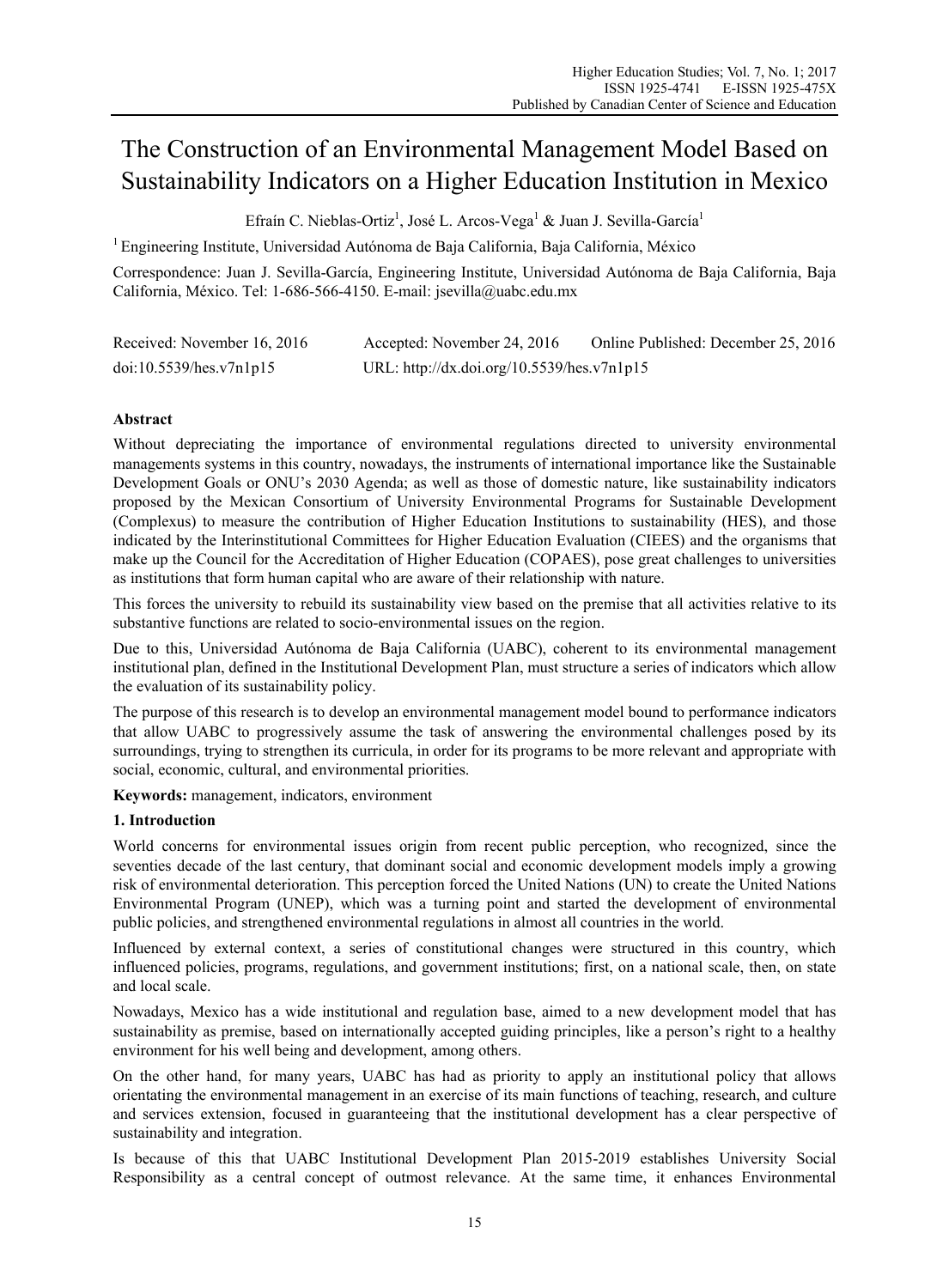# The Construction of an Environmental Management Model Based on Sustainability Indicators on a Higher Education Institution in Mexico

Efraín C. Nieblas-Ortiz<sup>1</sup>, José L. Arcos-Vega<sup>1</sup> & Juan J. Sevilla-García<sup>1</sup>

1 Engineering Institute, Universidad Autónoma de Baja California, Baja California, México

Correspondence: Juan J. Sevilla-García, Engineering Institute, Universidad Autónoma de Baja California, Baja California, México. Tel: 1-686-566-4150. E-mail: jsevilla@uabc.edu.mx

| Received: November 16, 2016 | Accepted: November 24, 2016                | Online Published: December 25, 2016 |
|-----------------------------|--------------------------------------------|-------------------------------------|
| doi:10.5539/hes.v7n1p15     | URL: http://dx.doi.org/10.5539/hes.v7n1p15 |                                     |

# **Abstract**

Without depreciating the importance of environmental regulations directed to university environmental managements systems in this country, nowadays, the instruments of international importance like the Sustainable Development Goals or ONU's 2030 Agenda; as well as those of domestic nature, like sustainability indicators proposed by the Mexican Consortium of University Environmental Programs for Sustainable Development (Complexus) to measure the contribution of Higher Education Institutions to sustainability (HES), and those indicated by the Interinstitutional Committees for Higher Education Evaluation (CIEES) and the organisms that make up the Council for the Accreditation of Higher Education (COPAES), pose great challenges to universities as institutions that form human capital who are aware of their relationship with nature.

This forces the university to rebuild its sustainability view based on the premise that all activities relative to its substantive functions are related to socio-environmental issues on the region.

Due to this, Universidad Autónoma de Baja California (UABC), coherent to its environmental management institutional plan, defined in the Institutional Development Plan, must structure a series of indicators which allow the evaluation of its sustainability policy.

The purpose of this research is to develop an environmental management model bound to performance indicators that allow UABC to progressively assume the task of answering the environmental challenges posed by its surroundings, trying to strengthen its curricula, in order for its programs to be more relevant and appropriate with social, economic, cultural, and environmental priorities.

**Keywords:** management, indicators, environment

# **1. Introduction**

World concerns for environmental issues origin from recent public perception, who recognized, since the seventies decade of the last century, that dominant social and economic development models imply a growing risk of environmental deterioration. This perception forced the United Nations (UN) to create the United Nations Environmental Program (UNEP), which was a turning point and started the development of environmental public policies, and strengthened environmental regulations in almost all countries in the world.

Influenced by external context, a series of constitutional changes were structured in this country, which influenced policies, programs, regulations, and government institutions; first, on a national scale, then, on state and local scale.

Nowadays, Mexico has a wide institutional and regulation base, aimed to a new development model that has sustainability as premise, based on internationally accepted guiding principles, like a person's right to a healthy environment for his well being and development, among others.

On the other hand, for many years, UABC has had as priority to apply an institutional policy that allows orientating the environmental management in an exercise of its main functions of teaching, research, and culture and services extension, focused in guaranteeing that the institutional development has a clear perspective of sustainability and integration.

Is because of this that UABC Institutional Development Plan 2015-2019 establishes University Social Responsibility as a central concept of outmost relevance. At the same time, it enhances Environmental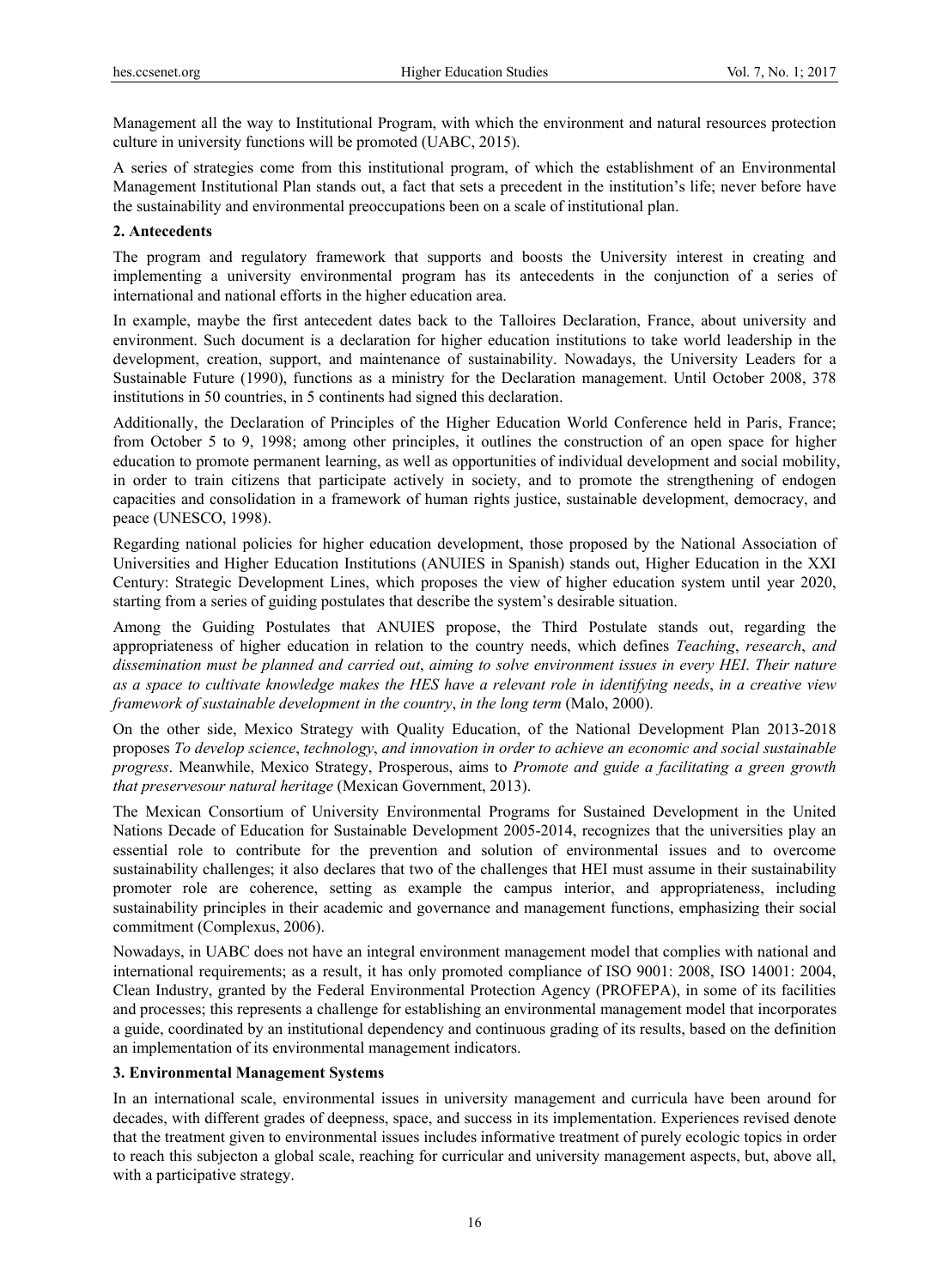Management all the way to Institutional Program, with which the environment and natural resources protection culture in university functions will be promoted (UABC, 2015).

A series of strategies come from this institutional program, of which the establishment of an Environmental Management Institutional Plan stands out, a fact that sets a precedent in the institution's life; never before have the sustainability and environmental preoccupations been on a scale of institutional plan.

### **2. Antecedents**

The program and regulatory framework that supports and boosts the University interest in creating and implementing a university environmental program has its antecedents in the conjunction of a series of international and national efforts in the higher education area.

In example, maybe the first antecedent dates back to the Talloires Declaration, France, about university and environment. Such document is a declaration for higher education institutions to take world leadership in the development, creation, support, and maintenance of sustainability. Nowadays, the University Leaders for a Sustainable Future (1990), functions as a ministry for the Declaration management. Until October 2008, 378 institutions in 50 countries, in 5 continents had signed this declaration.

Additionally, the Declaration of Principles of the Higher Education World Conference held in Paris, France; from October 5 to 9, 1998; among other principles, it outlines the construction of an open space for higher education to promote permanent learning, as well as opportunities of individual development and social mobility, in order to train citizens that participate actively in society, and to promote the strengthening of endogen capacities and consolidation in a framework of human rights justice, sustainable development, democracy, and peace (UNESCO, 1998).

Regarding national policies for higher education development, those proposed by the National Association of Universities and Higher Education Institutions (ANUIES in Spanish) stands out, Higher Education in the XXI Century: Strategic Development Lines, which proposes the view of higher education system until year 2020, starting from a series of guiding postulates that describe the system's desirable situation.

Among the Guiding Postulates that ANUIES propose, the Third Postulate stands out, regarding the appropriateness of higher education in relation to the country needs, which defines *Teaching*, *research*, *and dissemination must be planned and carried out*, *aiming to solve environment issues in every HEI*. *Their nature as a space to cultivate knowledge makes the HES have a relevant role in identifying needs*, *in a creative view framework of sustainable development in the country*, *in the long term* (Malo, 2000).

On the other side, Mexico Strategy with Quality Education, of the National Development Plan 2013-2018 proposes *To develop science*, *technology*, *and innovation in order to achieve an economic and social sustainable progress*. Meanwhile, Mexico Strategy, Prosperous, aims to *Promote and guide a facilitating a green growth that preservesour natural heritage* (Mexican Government, 2013).

The Mexican Consortium of University Environmental Programs for Sustained Development in the United Nations Decade of Education for Sustainable Development 2005-2014, recognizes that the universities play an essential role to contribute for the prevention and solution of environmental issues and to overcome sustainability challenges; it also declares that two of the challenges that HEI must assume in their sustainability promoter role are coherence, setting as example the campus interior, and appropriateness, including sustainability principles in their academic and governance and management functions, emphasizing their social commitment (Complexus, 2006).

Nowadays, in UABC does not have an integral environment management model that complies with national and international requirements; as a result, it has only promoted compliance of ISO 9001: 2008, ISO 14001: 2004, Clean Industry, granted by the Federal Environmental Protection Agency (PROFEPA), in some of its facilities and processes; this represents a challenge for establishing an environmental management model that incorporates a guide, coordinated by an institutional dependency and continuous grading of its results, based on the definition an implementation of its environmental management indicators.

# **3. Environmental Management Systems**

In an international scale, environmental issues in university management and curricula have been around for decades, with different grades of deepness, space, and success in its implementation. Experiences revised denote that the treatment given to environmental issues includes informative treatment of purely ecologic topics in order to reach this subjecton a global scale, reaching for curricular and university management aspects, but, above all, with a participative strategy.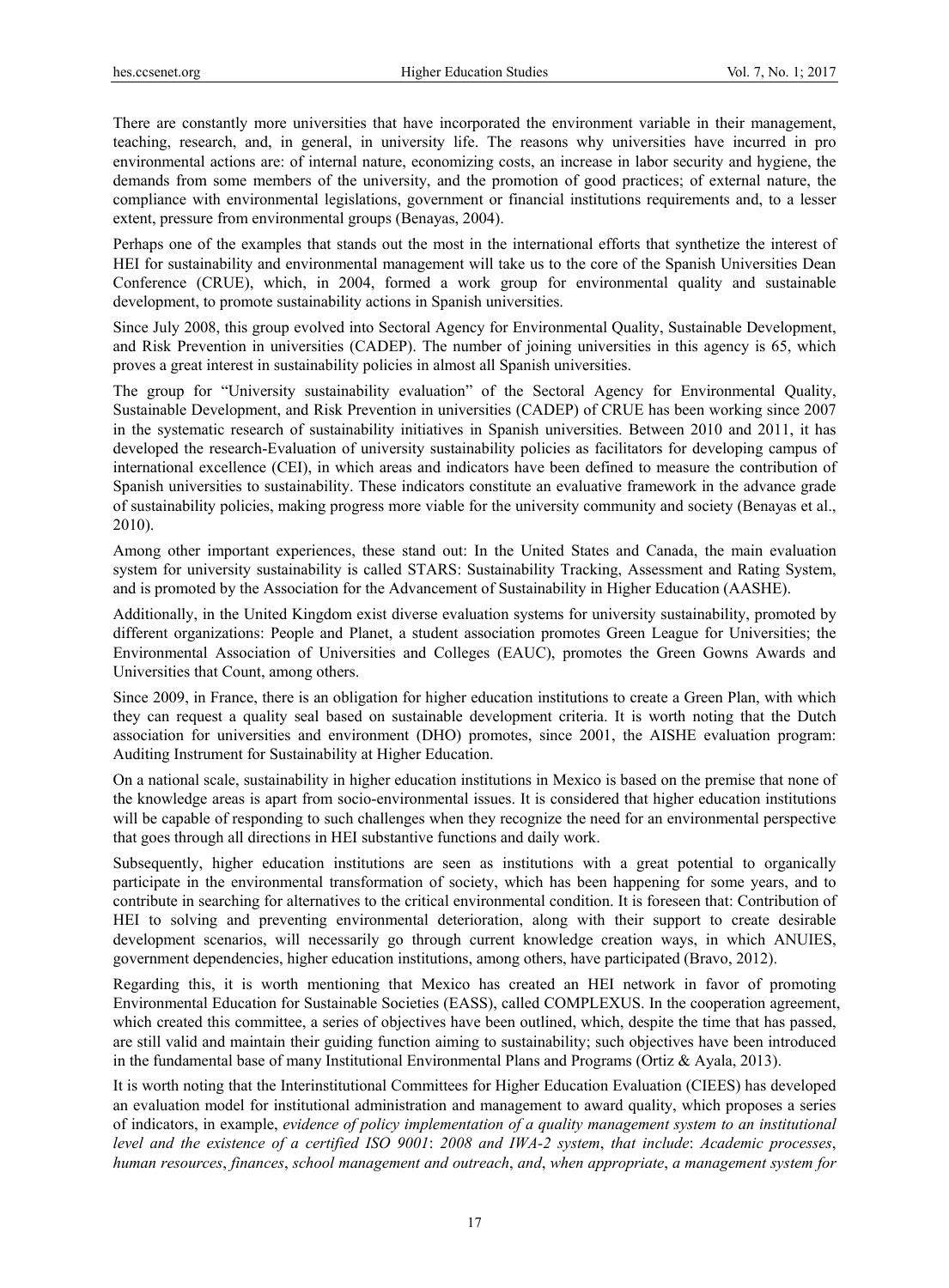There are constantly more universities that have incorporated the environment variable in their management, teaching, research, and, in general, in university life. The reasons why universities have incurred in pro environmental actions are: of internal nature, economizing costs, an increase in labor security and hygiene, the demands from some members of the university, and the promotion of good practices; of external nature, the compliance with environmental legislations, government or financial institutions requirements and, to a lesser extent, pressure from environmental groups (Benayas, 2004).

Perhaps one of the examples that stands out the most in the international efforts that synthetize the interest of HEI for sustainability and environmental management will take us to the core of the Spanish Universities Dean Conference (CRUE), which, in 2004, formed a work group for environmental quality and sustainable development, to promote sustainability actions in Spanish universities.

Since July 2008, this group evolved into Sectoral Agency for Environmental Quality, Sustainable Development, and Risk Prevention in universities (CADEP). The number of joining universities in this agency is 65, which proves a great interest in sustainability policies in almost all Spanish universities.

The group for "University sustainability evaluation" of the Sectoral Agency for Environmental Quality, Sustainable Development, and Risk Prevention in universities (CADEP) of CRUE has been working since 2007 in the systematic research of sustainability initiatives in Spanish universities. Between 2010 and 2011, it has developed the research-Evaluation of university sustainability policies as facilitators for developing campus of international excellence (CEI), in which areas and indicators have been defined to measure the contribution of Spanish universities to sustainability. These indicators constitute an evaluative framework in the advance grade of sustainability policies, making progress more viable for the university community and society (Benayas et al., 2010).

Among other important experiences, these stand out: In the United States and Canada, the main evaluation system for university sustainability is called STARS: Sustainability Tracking, Assessment and Rating System, and is promoted by the Association for the Advancement of Sustainability in Higher Education (AASHE).

Additionally, in the United Kingdom exist diverse evaluation systems for university sustainability, promoted by different organizations: People and Planet, a student association promotes Green League for Universities; the Environmental Association of Universities and Colleges (EAUC), promotes the Green Gowns Awards and Universities that Count, among others.

Since 2009, in France, there is an obligation for higher education institutions to create a Green Plan, with which they can request a quality seal based on sustainable development criteria. It is worth noting that the Dutch association for universities and environment (DHO) promotes, since 2001, the AISHE evaluation program: Auditing Instrument for Sustainability at Higher Education.

On a national scale, sustainability in higher education institutions in Mexico is based on the premise that none of the knowledge areas is apart from socio-environmental issues. It is considered that higher education institutions will be capable of responding to such challenges when they recognize the need for an environmental perspective that goes through all directions in HEI substantive functions and daily work.

Subsequently, higher education institutions are seen as institutions with a great potential to organically participate in the environmental transformation of society, which has been happening for some years, and to contribute in searching for alternatives to the critical environmental condition. It is foreseen that: Contribution of HEI to solving and preventing environmental deterioration, along with their support to create desirable development scenarios, will necessarily go through current knowledge creation ways, in which ANUIES, government dependencies, higher education institutions, among others, have participated (Bravo, 2012).

Regarding this, it is worth mentioning that Mexico has created an HEI network in favor of promoting Environmental Education for Sustainable Societies (EASS), called COMPLEXUS. In the cooperation agreement, which created this committee, a series of objectives have been outlined, which, despite the time that has passed, are still valid and maintain their guiding function aiming to sustainability; such objectives have been introduced in the fundamental base of many Institutional Environmental Plans and Programs (Ortiz & Ayala, 2013).

It is worth noting that the Interinstitutional Committees for Higher Education Evaluation (CIEES) has developed an evaluation model for institutional administration and management to award quality, which proposes a series of indicators, in example, *evidence of policy implementation of a quality management system to an institutional level and the existence of a certified ISO 9001*: *2008 and IWA-2 system*, *that include*: *Academic processes*, *human resources*, *finances*, *school management and outreach*, *and*, *when appropriate*, *a management system for*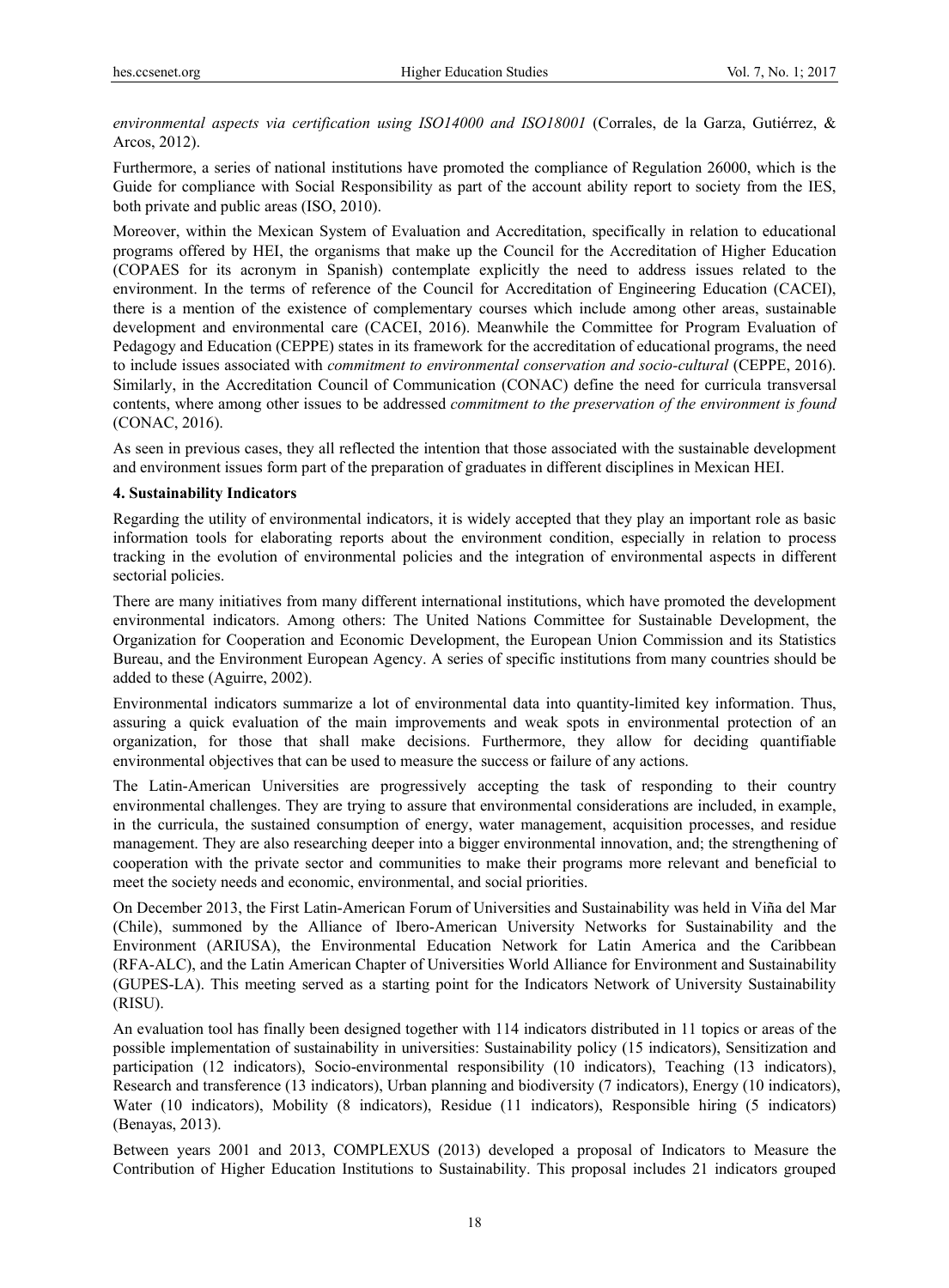*environmental aspects via certification using ISO14000 and ISO18001* (Corrales, de la Garza, Gutiérrez, & Arcos, 2012).

Furthermore, a series of national institutions have promoted the compliance of Regulation 26000, which is the Guide for compliance with Social Responsibility as part of the account ability report to society from the IES, both private and public areas (ISO, 2010).

Moreover, within the Mexican System of Evaluation and Accreditation, specifically in relation to educational programs offered by HEI, the organisms that make up the Council for the Accreditation of Higher Education (COPAES for its acronym in Spanish) contemplate explicitly the need to address issues related to the environment. In the terms of reference of the Council for Accreditation of Engineering Education (CACEI), there is a mention of the existence of complementary courses which include among other areas, sustainable development and environmental care (CACEI, 2016). Meanwhile the Committee for Program Evaluation of Pedagogy and Education (CEPPE) states in its framework for the accreditation of educational programs, the need to include issues associated with *commitment to environmental conservation and socio-cultural* (CEPPE, 2016). Similarly, in the Accreditation Council of Communication (CONAC) define the need for curricula transversal contents, where among other issues to be addressed *commitment to the preservation of the environment is found* (CONAC, 2016).

As seen in previous cases, they all reflected the intention that those associated with the sustainable development and environment issues form part of the preparation of graduates in different disciplines in Mexican HEI.

#### **4. Sustainability Indicators**

Regarding the utility of environmental indicators, it is widely accepted that they play an important role as basic information tools for elaborating reports about the environment condition, especially in relation to process tracking in the evolution of environmental policies and the integration of environmental aspects in different sectorial policies.

There are many initiatives from many different international institutions, which have promoted the development environmental indicators. Among others: The United Nations Committee for Sustainable Development, the Organization for Cooperation and Economic Development, the European Union Commission and its Statistics Bureau, and the Environment European Agency. A series of specific institutions from many countries should be added to these (Aguirre, 2002).

Environmental indicators summarize a lot of environmental data into quantity-limited key information. Thus, assuring a quick evaluation of the main improvements and weak spots in environmental protection of an organization, for those that shall make decisions. Furthermore, they allow for deciding quantifiable environmental objectives that can be used to measure the success or failure of any actions.

The Latin-American Universities are progressively accepting the task of responding to their country environmental challenges. They are trying to assure that environmental considerations are included, in example, in the curricula, the sustained consumption of energy, water management, acquisition processes, and residue management. They are also researching deeper into a bigger environmental innovation, and; the strengthening of cooperation with the private sector and communities to make their programs more relevant and beneficial to meet the society needs and economic, environmental, and social priorities.

On December 2013, the First Latin-American Forum of Universities and Sustainability was held in Viña del Mar (Chile), summoned by the Alliance of Ibero-American University Networks for Sustainability and the Environment (ARIUSA), the Environmental Education Network for Latin America and the Caribbean (RFA-ALC), and the Latin American Chapter of Universities World Alliance for Environment and Sustainability (GUPES-LA). This meeting served as a starting point for the Indicators Network of University Sustainability (RISU).

An evaluation tool has finally been designed together with 114 indicators distributed in 11 topics or areas of the possible implementation of sustainability in universities: Sustainability policy (15 indicators), Sensitization and participation (12 indicators), Socio-environmental responsibility (10 indicators), Teaching (13 indicators), Research and transference (13 indicators), Urban planning and biodiversity (7 indicators), Energy (10 indicators), Water (10 indicators), Mobility (8 indicators), Residue (11 indicators), Responsible hiring (5 indicators) (Benayas, 2013).

Between years 2001 and 2013, COMPLEXUS (2013) developed a proposal of Indicators to Measure the Contribution of Higher Education Institutions to Sustainability. This proposal includes 21 indicators grouped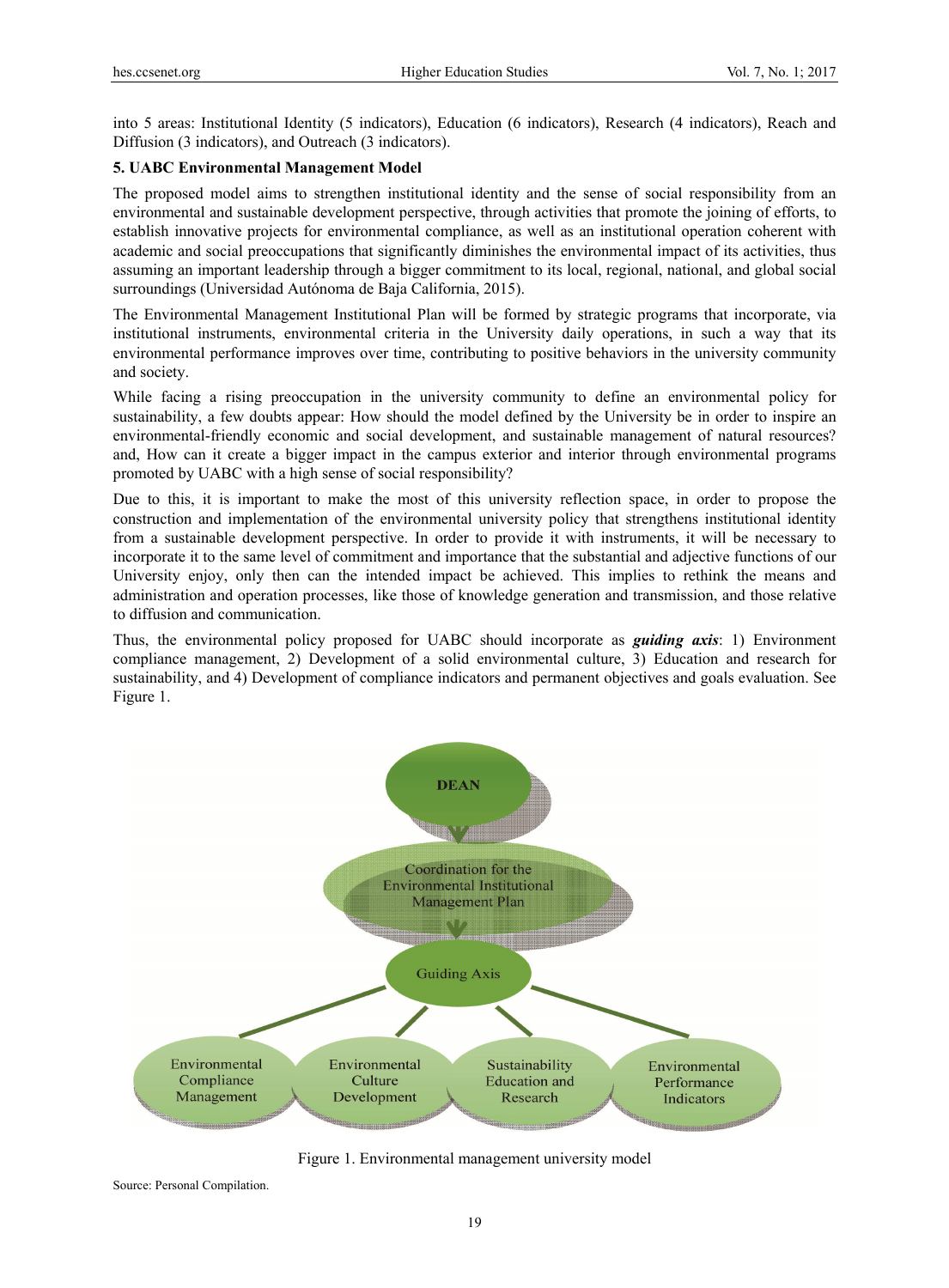into 5 areas: Institutional Identity (5 indicators), Education (6 indicators), Research (4 indicators), Reach and Diffusion (3 indicators), and Outreach (3 indicators).

# **5. UABC Environmental Management Model**

The proposed model aims to strengthen institutional identity and the sense of social responsibility from an environmental and sustainable development perspective, through activities that promote the joining of efforts, to establish innovative projects for environmental compliance, as well as an institutional operation coherent with academic and social preoccupations that significantly diminishes the environmental impact of its activities, thus assuming an important leadership through a bigger commitment to its local, regional, national, and global social surroundings (Universidad Autónoma de Baja California, 2015).

The Environmental Management Institutional Plan will be formed by strategic programs that incorporate, via institutional instruments, environmental criteria in the University daily operations, in such a way that its environmental performance improves over time, contributing to positive behaviors in the university community and society.

While facing a rising preoccupation in the university community to define an environmental policy for sustainability, a few doubts appear: How should the model defined by the University be in order to inspire an environmental-friendly economic and social development, and sustainable management of natural resources? and, How can it create a bigger impact in the campus exterior and interior through environmental programs promoted by UABC with a high sense of social responsibility?

Due to this, it is important to make the most of this university reflection space, in order to propose the construction and implementation of the environmental university policy that strengthens institutional identity from a sustainable development perspective. In order to provide it with instruments, it will be necessary to incorporate it to the same level of commitment and importance that the substantial and adjective functions of our University enjoy, only then can the intended impact be achieved. This implies to rethink the means and administration and operation processes, like those of knowledge generation and transmission, and those relative to diffusion and communication.

Thus, the environmental policy proposed for UABC should incorporate as *guiding axis*: 1) Environment compliance management, 2) Development of a solid environmental culture, 3) Education and research for sustainability, and 4) Development of compliance indicators and permanent objectives and goals evaluation. See Figure 1.



Figure 1. Environmental management university model

Source: Personal Compilation.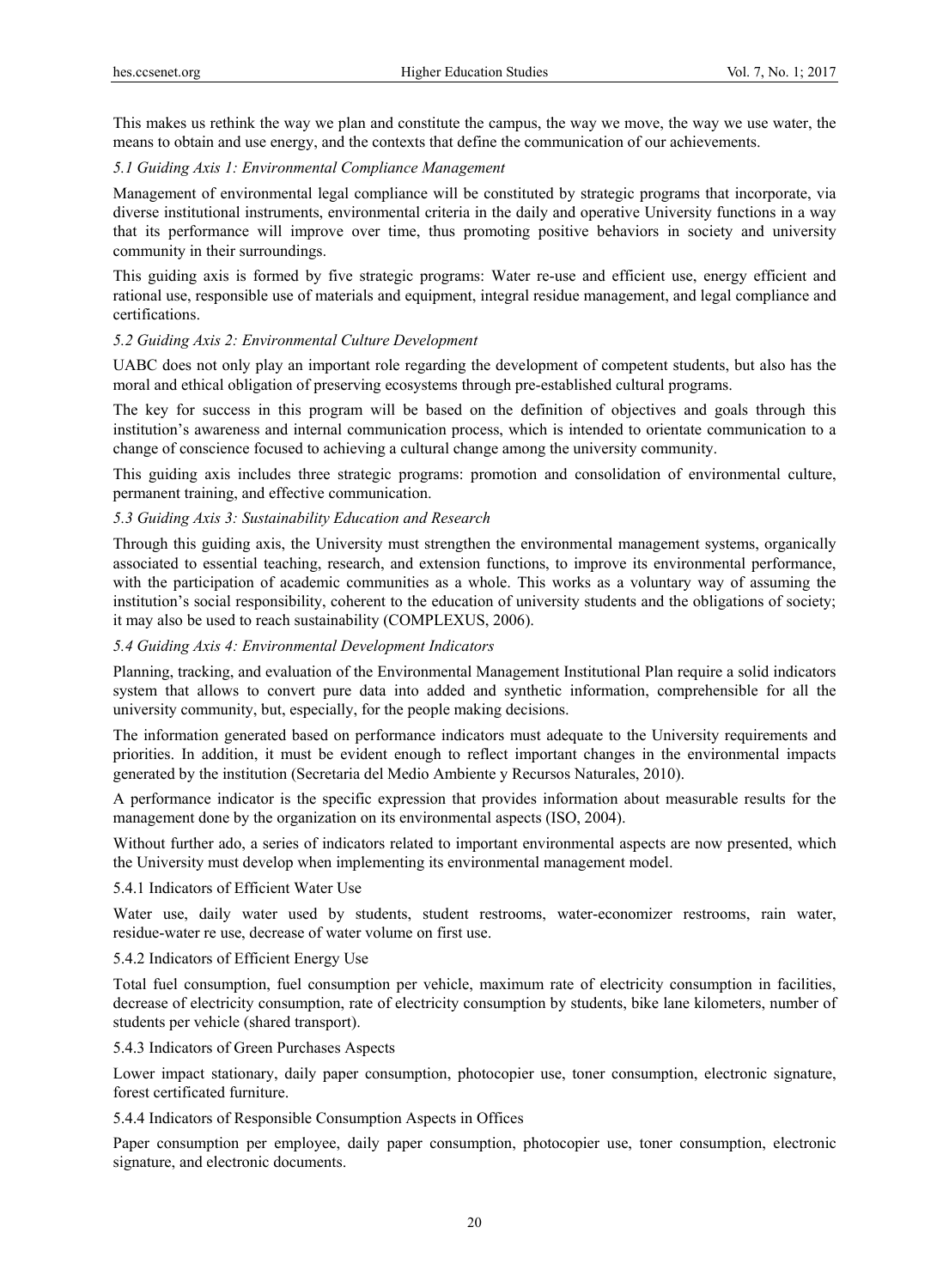This makes us rethink the way we plan and constitute the campus, the way we move, the way we use water, the means to obtain and use energy, and the contexts that define the communication of our achievements.

# *5.1 Guiding Axis 1: Environmental Compliance Management*

Management of environmental legal compliance will be constituted by strategic programs that incorporate, via diverse institutional instruments, environmental criteria in the daily and operative University functions in a way that its performance will improve over time, thus promoting positive behaviors in society and university community in their surroundings.

This guiding axis is formed by five strategic programs: Water re-use and efficient use, energy efficient and rational use, responsible use of materials and equipment, integral residue management, and legal compliance and certifications.

## *5.2 Guiding Axis 2: Environmental Culture Development*

UABC does not only play an important role regarding the development of competent students, but also has the moral and ethical obligation of preserving ecosystems through pre-established cultural programs.

The key for success in this program will be based on the definition of objectives and goals through this institution's awareness and internal communication process, which is intended to orientate communication to a change of conscience focused to achieving a cultural change among the university community.

This guiding axis includes three strategic programs: promotion and consolidation of environmental culture, permanent training, and effective communication.

## *5.3 Guiding Axis 3: Sustainability Education and Research*

Through this guiding axis, the University must strengthen the environmental management systems, organically associated to essential teaching, research, and extension functions, to improve its environmental performance, with the participation of academic communities as a whole. This works as a voluntary way of assuming the institution's social responsibility, coherent to the education of university students and the obligations of society; it may also be used to reach sustainability (COMPLEXUS, 2006).

## *5.4 Guiding Axis 4: Environmental Development Indicators*

Planning, tracking, and evaluation of the Environmental Management Institutional Plan require a solid indicators system that allows to convert pure data into added and synthetic information, comprehensible for all the university community, but, especially, for the people making decisions.

The information generated based on performance indicators must adequate to the University requirements and priorities. In addition, it must be evident enough to reflect important changes in the environmental impacts generated by the institution (Secretaria del Medio Ambiente y Recursos Naturales, 2010).

A performance indicator is the specific expression that provides information about measurable results for the management done by the organization on its environmental aspects (ISO, 2004).

Without further ado, a series of indicators related to important environmental aspects are now presented, which the University must develop when implementing its environmental management model.

#### 5.4.1 Indicators of Efficient Water Use

Water use, daily water used by students, student restrooms, water-economizer restrooms, rain water, residue-water re use, decrease of water volume on first use.

#### 5.4.2 Indicators of Efficient Energy Use

Total fuel consumption, fuel consumption per vehicle, maximum rate of electricity consumption in facilities, decrease of electricity consumption, rate of electricity consumption by students, bike lane kilometers, number of students per vehicle (shared transport).

#### 5.4.3 Indicators of Green Purchases Aspects

Lower impact stationary, daily paper consumption, photocopier use, toner consumption, electronic signature, forest certificated furniture.

# 5.4.4 Indicators of Responsible Consumption Aspects in Offices

Paper consumption per employee, daily paper consumption, photocopier use, toner consumption, electronic signature, and electronic documents.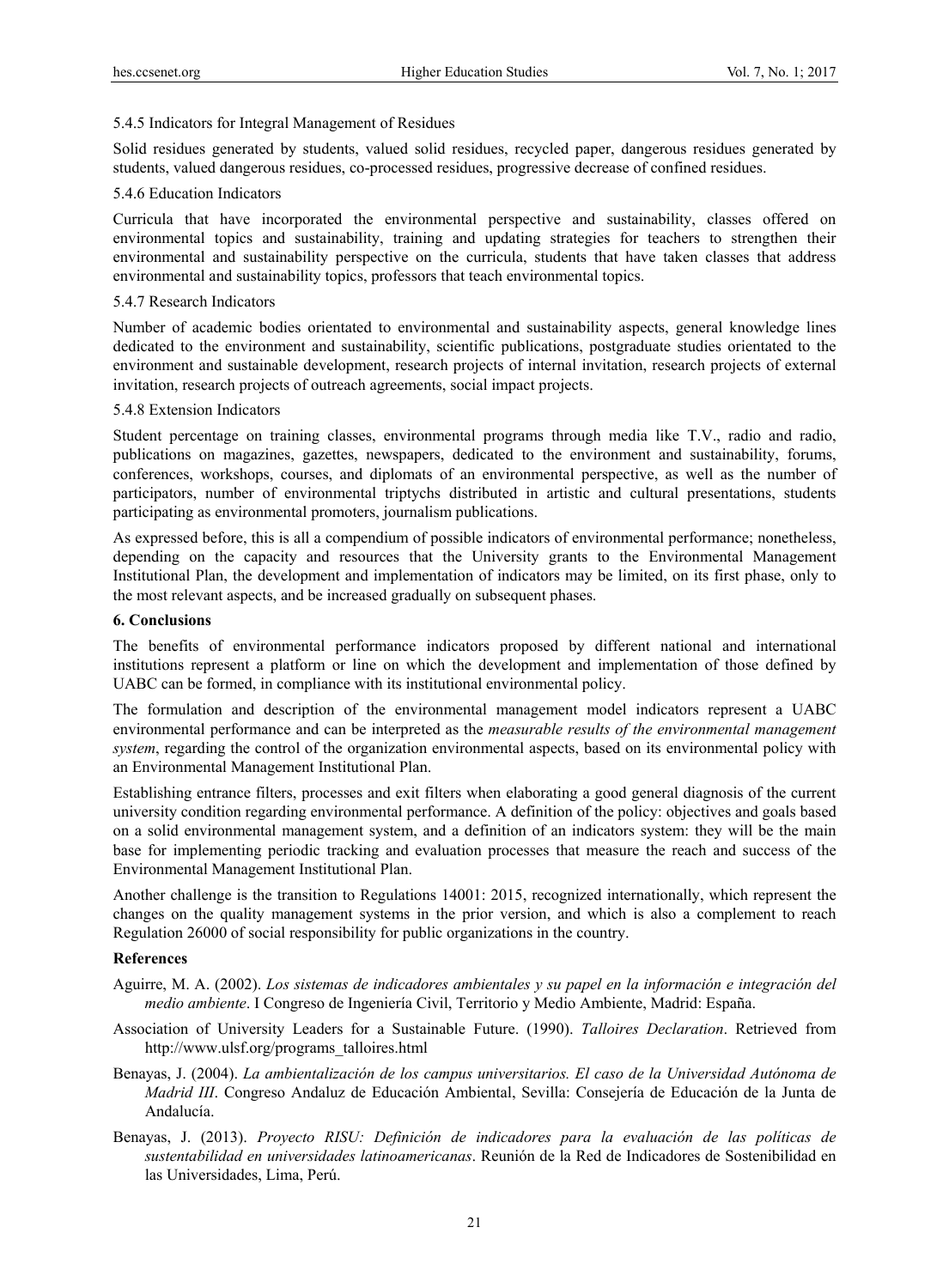#### 5.4.5 Indicators for Integral Management of Residues

Solid residues generated by students, valued solid residues, recycled paper, dangerous residues generated by students, valued dangerous residues, co-processed residues, progressive decrease of confined residues.

## 5.4.6 Education Indicators

Curricula that have incorporated the environmental perspective and sustainability, classes offered on environmental topics and sustainability, training and updating strategies for teachers to strengthen their environmental and sustainability perspective on the curricula, students that have taken classes that address environmental and sustainability topics, professors that teach environmental topics.

#### 5.4.7 Research Indicators

Number of academic bodies orientated to environmental and sustainability aspects, general knowledge lines dedicated to the environment and sustainability, scientific publications, postgraduate studies orientated to the environment and sustainable development, research projects of internal invitation, research projects of external invitation, research projects of outreach agreements, social impact projects.

#### 5.4.8 Extension Indicators

Student percentage on training classes, environmental programs through media like T.V., radio and radio, publications on magazines, gazettes, newspapers, dedicated to the environment and sustainability, forums, conferences, workshops, courses, and diplomats of an environmental perspective, as well as the number of participators, number of environmental triptychs distributed in artistic and cultural presentations, students participating as environmental promoters, journalism publications.

As expressed before, this is all a compendium of possible indicators of environmental performance; nonetheless, depending on the capacity and resources that the University grants to the Environmental Management Institutional Plan, the development and implementation of indicators may be limited, on its first phase, only to the most relevant aspects, and be increased gradually on subsequent phases.

#### **6. Conclusions**

The benefits of environmental performance indicators proposed by different national and international institutions represent a platform or line on which the development and implementation of those defined by UABC can be formed, in compliance with its institutional environmental policy.

The formulation and description of the environmental management model indicators represent a UABC environmental performance and can be interpreted as the *measurable results of the environmental management system*, regarding the control of the organization environmental aspects, based on its environmental policy with an Environmental Management Institutional Plan.

Establishing entrance filters, processes and exit filters when elaborating a good general diagnosis of the current university condition regarding environmental performance. A definition of the policy: objectives and goals based on a solid environmental management system, and a definition of an indicators system: they will be the main base for implementing periodic tracking and evaluation processes that measure the reach and success of the Environmental Management Institutional Plan.

Another challenge is the transition to Regulations 14001: 2015, recognized internationally, which represent the changes on the quality management systems in the prior version, and which is also a complement to reach Regulation 26000 of social responsibility for public organizations in the country.

#### **References**

- Aguirre, M. A. (2002). *Los sistemas de indicadores ambientales y su papel en la información e integración del medio ambiente*. I Congreso de Ingeniería Civil, Territorio y Medio Ambiente, Madrid: España.
- Association of University Leaders for a Sustainable Future. (1990). *Talloires Declaration*. Retrieved from http://www.ulsf.org/programs\_talloires.html
- Benayas, J. (2004). *La ambientalización de los campus universitarios. El caso de la Universidad Autónoma de Madrid III*. Congreso Andaluz de Educación Ambiental, Sevilla: Consejería de Educación de la Junta de Andalucía.
- Benayas, J. (2013). *Proyecto RISU: Definición de indicadores para la evaluación de las políticas de sustentabilidad en universidades latinoamericanas*. Reunión de la Red de Indicadores de Sostenibilidad en las Universidades, Lima, Perú.